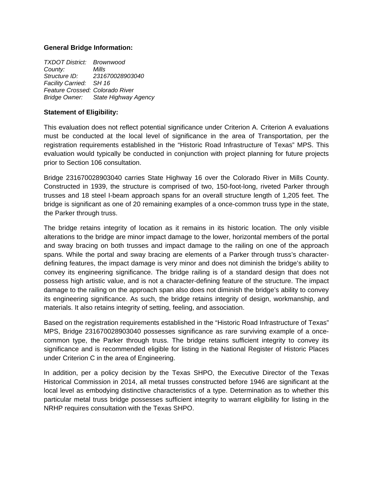### **General Bridge Information:**

*TXDOT District: Brownwood County: Mills Structure ID: 231670028903040 Facility Carried: SH 16 Feature Crossed: Colorado River Bridge Owner: State Highway Agency* 

### **Statement of Eligibility:**

This evaluation does not reflect potential significance under Criterion A. Criterion A evaluations must be conducted at the local level of significance in the area of Transportation, per the registration requirements established in the "Historic Road Infrastructure of Texas" MPS. This evaluation would typically be conducted in conjunction with project planning for future projects prior to Section 106 consultation.

Bridge 231670028903040 carries State Highway 16 over the Colorado River in Mills County. Constructed in 1939, the structure is comprised of two, 150-foot-long, riveted Parker through trusses and 18 steel I-beam approach spans for an overall structure length of 1,205 feet. The bridge is significant as one of 20 remaining examples of a once-common truss type in the state, the Parker through truss.

The bridge retains integrity of location as it remains in its historic location. The only visible alterations to the bridge are minor impact damage to the lower, horizontal members of the portal and sway bracing on both trusses and impact damage to the railing on one of the approach spans. While the portal and sway bracing are elements of a Parker through truss's characterdefining features, the impact damage is very minor and does not diminish the bridge's ability to convey its engineering significance. The bridge railing is of a standard design that does not possess high artistic value, and is not a character-defining feature of the structure. The impact damage to the railing on the approach span also does not diminish the bridge's ability to convey its engineering significance. As such, the bridge retains integrity of design, workmanship, and materials. It also retains integrity of setting, feeling, and association.

Based on the registration requirements established in the "Historic Road Infrastructure of Texas" MPS, Bridge 231670028903040 possesses significance as rare surviving example of a oncecommon type, the Parker through truss. The bridge retains sufficient integrity to convey its significance and is recommended eligible for listing in the National Register of Historic Places under Criterion C in the area of Engineering.

In addition, per a policy decision by the Texas SHPO, the Executive Director of the Texas Historical Commission in 2014, all metal trusses constructed before 1946 are significant at the local level as embodying distinctive characteristics of a type. Determination as to whether this particular metal truss bridge possesses sufficient integrity to warrant eligibility for listing in the NRHP requires consultation with the Texas SHPO.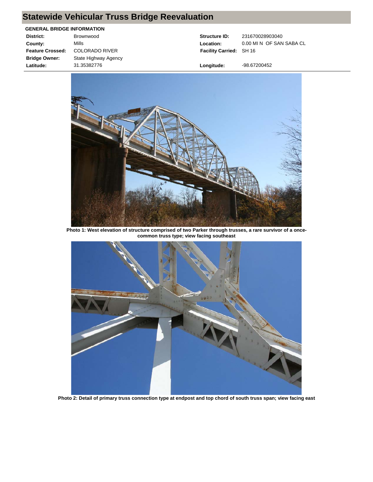# **Statewide Vehicular Truss Bridge Reevaluation**

#### **GENERAL BRIDGE INFORMATION**

| District:               | Brownwood             |
|-------------------------|-----------------------|
| County:                 | Mills                 |
| <b>Feature Crossed:</b> | <b>COLORADO RIVER</b> |
| <b>Bridge Owner:</b>    | State Highway Agency  |
| Latitude:               | 31.35382776           |

**Structure ID:** 231670028903040 **Facility Carried:** SH 16

Location: 0.00 MI N OF SAN SABA CL

**Longitude:** -98.67200452



**Photo 1: West elevation of structure comprised of two Parker through trusses, a rare survivor of a oncecommon truss type; view facing southeast**



**Photo 2: Detail of primary truss connection type at endpost and top chord of south truss span; view facing east**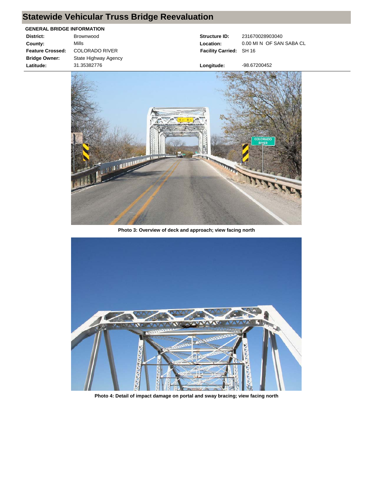# **Statewide Vehicular Truss Bridge Reevaluation**

#### **GENERAL BRIDGE INFORMATION**

| District:               | Brownwood             |
|-------------------------|-----------------------|
| County:                 | Mills                 |
| <b>Feature Crossed:</b> | <b>COLORADO RIVER</b> |
| <b>Bridge Owner:</b>    | State Highway Agency  |
| Latitude:               | 31.35382776           |
|                         |                       |

**Structure ID:** 231670028903040 **Facility Carried:** SH 16

Location: 0.00 MI N OF SAN SABA CL

**Longitude:** -98.67200452



**Photo 3: Overview of deck and approach; view facing north**



**Photo 4: Detail of impact damage on portal and sway bracing; view facing north**